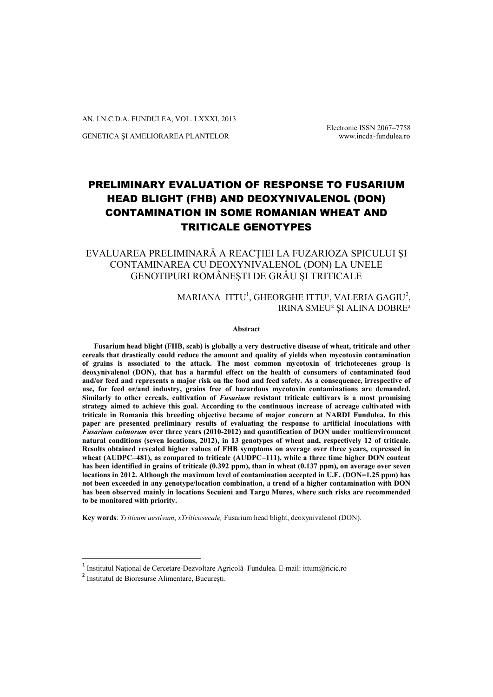AN. I.N.C.D.A. FUNDULEA, VOL. LXXXI, 2013

GENETICA ŞI AMELIORAREA PLANTELOR www.incda-fundulea.ro

Electronic ISSN 2067–7758

# PRELIMINARY EVALUATION OF RESPONSE TO FUSARIUM HEAD BLIGHT (FHB) AND DEOXYNIVALENOL (DON) CONTAMINATION IN SOME ROMANIAN WHEAT AND TRITICALE GENOTYPES

EVALUAREA PRELIMINARĂ A REACŢIEI LA FUZARIOZA SPICULUI ŞI CONTAMINAREA CU DEOXYNIVALENOL (DON) LA UNELE GENOTIPURI ROMÂNEŞTI DE GRÂU ŞI TRITICALE

> MARIANA  $ITTU^1$ , GHEORGHE ITTU', VALERIA GAGIU $^2$ , IRINA SMEU² ŞI ALINA DOBRE²

> > **Abstract**

**Fusarium head blight (FHB, scab) is globally a very destructive disease of wheat, triticale and other cereals that drastically could reduce the amount and quality of yields when mycotoxin contamination of grains is associated to the attack. The most common mycotoxin of trichotecenes group is deoxynivalenol (DON), that has a harmful effect on the health of consumers of contaminated food and/or feed and represents a major risk on the food and feed safety. As a consequence, irrespective of use, for feed or/and industry, grains free of hazardous mycotoxin contaminations are demanded. Similarly to other cereals, cultivation of** *Fusarium* **resistant triticale cultivars is a most promising strategy aimed to achieve this goal. According to the continuous increase of acreage cultivated with triticale in Romania this breeding objective became of major concern at NARDI Fundulea. In this paper are presented preliminary results of evaluating the response to artificial inoculations with**  *Fusarium culmorum* **over three years (2010-2012) and quantification of DON under multienvironment natural conditions (seven locations, 2012), in 13 genotypes of wheat and, respectively 12 of triticale. Results obtained revealed higher values of FHB symptoms on average over three years, expressed in wheat (AUDPC=481), as compared to triticale (AUDPC=111), while a three time higher DON content has been identified in grains of triticale (0.392 ppm), than in wheat (0.137 ppm), on average over seven locations in 2012. Although the maximum level of contamination accepted in U.E. (DON=1.25 ppm) has not been exceeded in any genotype/location combination, a trend of a higher contamination with DON has been observed mainly in locations Secuieni and Targu Mures, where such risks are recommended to be monitored with priority.**

**Key words**: *Triticum aestivum*, *xTriticosecale,* Fusarium head blight, deoxynivalenol (DON).

1

<sup>&</sup>lt;sup>1</sup> Institutul Național de Cercetare-Dezvoltare Agricolã Fundulea. E-mail: ittum@ricic.ro

<sup>2</sup> Institutul de Bioresurse Alimentare, Bucureşti.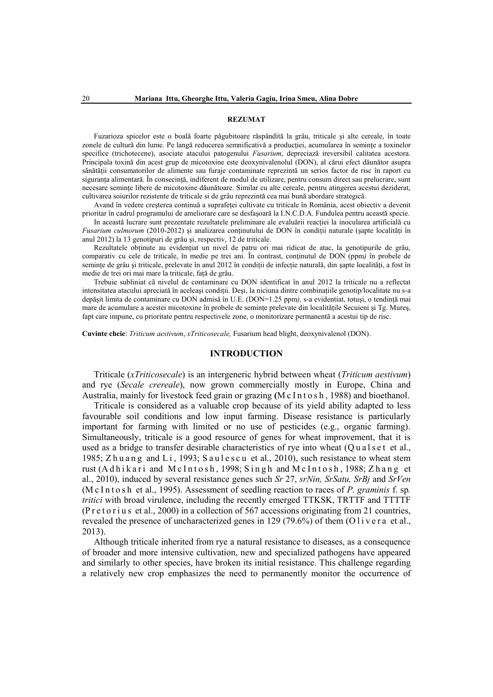#### **REZUMAT**

Fuzarioza spicelor este o boală foarte păgubitoare răspândită la grâu, triticale şi alte cereale, în toate zonele de cultură din lume. Pe langă reducerea semnificativă a producției, acumularea în semințe a toxinelor specifice (trichotecene), asociate atacului patogenului *Fusarium*, depreciază ireversibil calitatea acestora. Principala toxină din acest grup de micotoxine este deoxynivalenolul (DON), al cărui efect dăunător asupra sănătății consumatorilor de alimente sau furaje contaminate reprezintă un serios factor de risc în raport cu siguranța alimentară. În consecință, indiferent de modul de utilizare, pentru consum direct sau prelucrare, sunt necesare seminţe libere de micotoxine dăunătoare. Similar cu alte cereale, pentru atingerea acestui deziderat, cultivarea soiurilor rezistente de triticale si de grâu reprezintă cea mai bună abordare strategică.

Avand în vedere creşterea continuă a suprafeţei cultivate cu triticale în România, acest obiectiv a devenit prioritar în cadrul programului de ameliorare care se desfaşoară la I.N.C.D.A. Fundulea pentru această specie.

In această lucrare sunt prezentate rezultatele preliminare ale evaluării reacţiei la inocularea artificială cu *Fusarium culmorum* (2010-2012) și analizarea conținutului de DON în condiții naturale (șapte localități în anul 2012) la 13 genotipuri de grâu şi, respectiv, 12 de triticale.

Rezultatele obţinute au evidenţiat un nivel de patru ori mai ridicat de atac, la genotipurile de grâu, comparativ cu cele de triticale, în medie pe trei ani. În contrast, conţinutul de DON (ppm*)* în probele de semințe de grâu și triticale, prelevate în anul 2012 în condiții de infecție naturală, din șapte localități, a fost în medie de trei ori mai mare la triticale, faţă de grâu.

Trebuie subliniat cã nivelul de contaminare cu DON identificat în anul 2012 la triticale nu a reflectat intensitatea atacului apreciată în aceleaşi condiţii. Deşi, la niciuna dintre combinaţiile genotip/localitate nu s-a depăşit limita de contaminare cu DON admisă în U.E. (DON=1.25 ppm*),* s-a evidentiat, totuşi, o tendinţă mai mare de acumulare a acestei micotoxine în probele de semințe prelevate din localitățile Secuieni și Tg. Mureș, fapt care impune, cu prioritate pentru respectivele zone, o monitorizare permanentă a acestui tip de risc.

**Cuvinte cheie**: *Triticum aestivum*, *xTriticosecale,* Fusarium head blight, deoxynivalenol (DON).

#### **INTRODUCTION**

Triticale (*xTriticosecale*) is an intergeneric hybrid between wheat (*Triticum aestivum*) and rye (*Secale crereale*), now grown commercially mostly in Europe, China and Australia, mainly for livestock feed grain or grazing **(**M c I n t o s h , 1988) and bioethanol.

Triticale is considered as a valuable crop because of its yield ability adapted to less favourable soil conditions and low input farming. Disease resistance is particularly important for farming with limited or no use of pesticides (e.g., organic farming). Simultaneously, triticale is a good resource of genes for wheat improvement, that it is used as a bridge to transfer desirable characteristics of rye into wheat  $(Q \, u \, a \, s \, e \, t \, a \, d \, d)$ , 1985; Zhu ang and Li, 1993; Saulescu et al., 2010), such resistance to wheat stem rust (Adhikari and McIntosh, 1998; Singh and McIntosh, 1988; Zhang et al., 2010), induced by several resistance genes such *Sr* 27, *srNin, SrSatu, SrBj* and *SrVen* (M c I n t o s h et al., 1995). Assessment of seedling reaction to races of *P. graminis* f. sp. *tritici* with broad virulence, including the recently emerged TTKSK, TRTTF and TTTTF (P r e t o r i u s et al., 2000) in a collection of 567 accessions originating from 21 countries, revealed the presence of uncharacterized genes in 129 (79.6%) of them (O l i v e r a et al., 2013).

Although triticale inherited from rye a natural resistance to diseases, as a consequence of broader and more intensive cultivation, new and specialized pathogens have appeared and similarly to other species, have broken its initial resistance. This challenge regarding a relatively new crop emphasizes the need to permanently monitor the occurrence of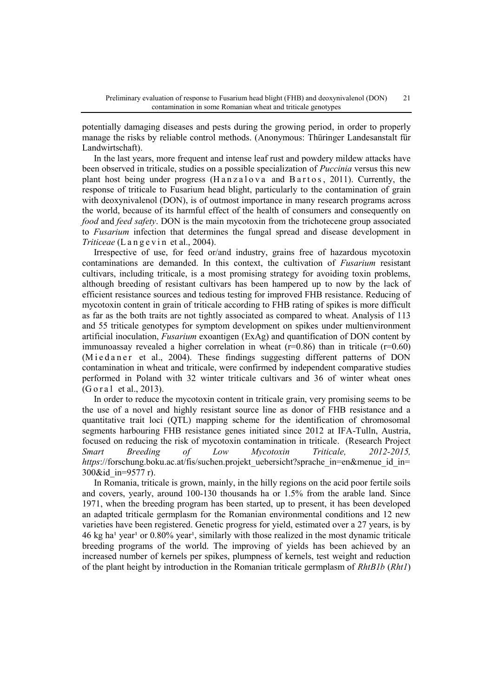potentially damaging diseases and pests during the growing period, in order to properly manage the risks by reliable control methods. (Anonymous: Thüringer Landesanstalt für Landwirtschaft).

In the last years, more frequent and intense leaf rust and powdery mildew attacks have been observed in triticale, studies on a possible specialization of *Puccinia* versus this new plant host being under progress  $(Hanzalova and Bartos, 2011)$ . Currently, the response of triticale to Fusarium head blight, particularly to the contamination of grain with deoxynivalenol (DON), is of outmost importance in many research programs across the world, because of its harmful effect of the health of consumers and consequently on *food* and *feed safety*. DON is the main mycotoxin from the trichotecene group associated to *Fusarium* infection that determines the fungal spread and disease development in *Triticeae* (L a n g e v i n et al., 2004).

Irrespective of use, for feed or/and industry, grains free of hazardous mycotoxin contaminations are demanded. In this context, the cultivation of *Fusarium* resistant cultivars, including triticale, is a most promising strategy for avoiding toxin problems, although breeding of resistant cultivars has been hampered up to now by the lack of efficient resistance sources and tedious testing for improved FHB resistance. Reducing of mycotoxin content in grain of triticale according to FHB rating of spikes is more difficult as far as the both traits are not tightly associated as compared to wheat. Analysis of 113 and 55 triticale genotypes for symptom development on spikes under multienvironment artificial inoculation, *Fusarium* exoantigen (ExAg) and quantification of DON content by immunoassay revealed a higher correlation in wheat  $(r=0.86)$  than in triticale  $(r=0.60)$ (Miedaner et al., 2004). These findings suggesting different patterns of DON contamination in wheat and triticale, were confirmed by independent comparative studies performed in Poland with 32 winter triticale cultivars and 36 of winter wheat ones  $(G \text{ or } al. \text{ et } al. 2013).$ 

In order to reduce the mycotoxin content in triticale grain, very promising seems to be the use of a novel and highly resistant source line as donor of FHB resistance and a quantitative trait loci (QTL) mapping scheme for the identification of chromosomal segments harbouring FHB resistance genes initiated since 2012 at IFA-Tulln, Austria, focused on reducing the risk of mycotoxin contamination in triticale. (Research Project *Smart Breeding of Low Mycotoxin Triticale, 2012-2015, https*://forschung.boku.ac.at/fis/suchen.projekt\_uebersicht?sprache\_in=en&menue\_id\_in= 300&id\_in=9577 r).

In Romania, triticale is grown, mainly, in the hilly regions on the acid poor fertile soils and covers, yearly, around 100-130 thousands ha or 1.5% from the arable land. Since 1971, when the breeding program has been started, up to present, it has been developed an adapted triticale germplasm for the Romanian environmental conditions and 12 new varieties have been registered. Genetic progress for yield, estimated over a 27 years, is by  $46 \text{ kg}$  ha<sup>1</sup> year<sup>1</sup> or 0.80% year<sup>1</sup>, similarly with those realized in the most dynamic triticale breeding programs of the world. The improving of yields has been achieved by an increased number of kernels per spikes, plumpness of kernels, test weight and reduction of the plant height by introduction in the Romanian triticale germplasm of *RhtB1b* (*Rht1*)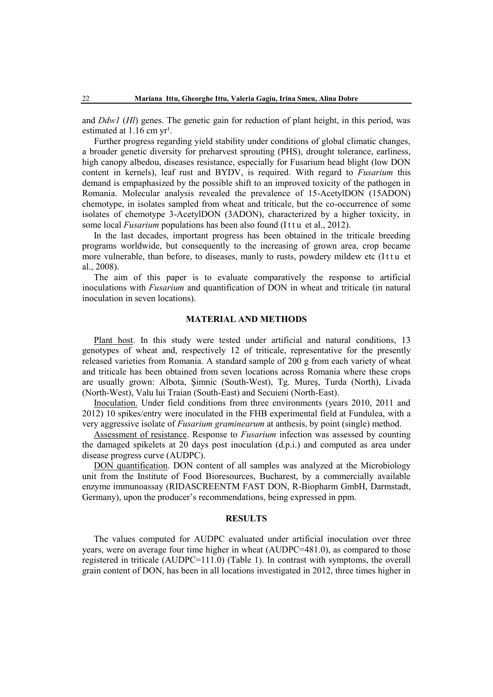and *Ddw1* (*Hl*) genes. The genetic gain for reduction of plant height, in this period, was estimated at  $1.16$  cm  $yr<sup>1</sup>$ .

Further progress regarding yield stability under conditions of global climatic changes, a broader genetic diversity for preharvest sprouting (PHS), drought tolerance, earliness, high canopy albedou, diseases resistance, especially for Fusarium head blight (low DON content in kernels), leaf rust and BYDV, is required. With regard to *Fusarium* this demand is empaphasized by the possible shift to an improved toxicity of the pathogen in Romania. Molecular analysis revealed the prevalence of 15-AcetylDON (15ADON) chemotype, in isolates sampled from wheat and triticale, but the co-occurrence of some isolates of chemotype 3-AcetylDON (3ADON), characterized by a higher toxicity, in some local *Fusarium* populations has been also found (Ittu et al., 2012).

In the last decades, important progress has been obtained in the triticale breeding programs worldwide, but consequently to the increasing of grown area, crop became more vulnerable, than before, to diseases, manly to rusts, powdery mildew etc (Ittu et al., 2008).

The aim of this paper is to evaluate comparatively the response to artificial inoculations with *Fusarium* and quantification of DON in wheat and triticale (in natural inoculation in seven locations).

# **MATERIAL AND METHODS**

Plant host. In this study were tested under artificial and natural conditions, 13 genotypes of wheat and, respectively 12 of triticale, representative for the presently released varieties from Romania. A standard sample of 200 g from each variety of wheat and triticale has been obtained from seven locations across Romania where these crops are usually grown: Albota, Şimnic (South-West), Tg. Mureş, Turda (North), Livada (North-West), Valu lui Traian (South-East) and Secuieni (North-East).

Inoculation. Under field conditions from three environments (years 2010, 2011 and 2012) 10 spikes/entry were inoculated in the FHB experimental field at Fundulea, with a very aggressive isolate of *Fusarium graminearum* at anthesis, by point (single) method.

Assessment of resistance. Response to *Fusarium* infection was assessed by counting the damaged spikelets at 20 days post inoculation (d.p.i.) and computed as area under disease progress curve (AUDPC).

DON quantification. DON content of all samples was analyzed at the Microbiology unit from the Institute of Food Bioresources, Bucharest, by a commercially available enzyme immunoassay (RIDASCREENTM FAST DON, R-Biopharm GmbH, Darmstadt, Germany), upon the producer's recommendations, being expressed in ppm.

## **RESULTS**

The values computed for AUDPC evaluated under artificial inoculation over three years, were on average four time higher in wheat (AUDPC=481.0), as compared to those registered in triticale (AUDPC=111.0) (Table 1). In contrast with symptoms, the overall grain content of DON, has been in all locations investigated in 2012, three times higher in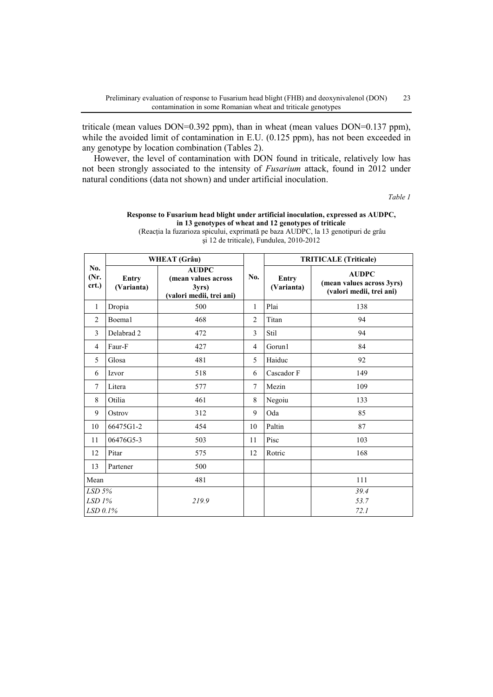triticale (mean values DON=0.392 ppm), than in wheat (mean values DON=0.137 ppm), while the avoided limit of contamination in E.U. (0.125 ppm), has not been exceeded in any genotype by location combination (Tables 2).

However, the level of contamination with DON found in triticale, relatively low has not been strongly associated to the intensity of *Fusarium* attack, found in 2012 under natural conditions (data not shown) and under artificial inoculation.

*Table 1*

|                                    | <b>WHEAT</b> (Grâu)        |                                                                         |                | <b>TRITICALE (Triticale)</b> |                                                                       |  |
|------------------------------------|----------------------------|-------------------------------------------------------------------------|----------------|------------------------------|-----------------------------------------------------------------------|--|
| No.<br>(Nr.<br>crt.)               | <b>Entry</b><br>(Varianta) | <b>AUDPC</b><br>(mean values across<br>3yrs<br>(valori medii, trei ani) | No.            | Entry<br>(Varianta)          | <b>AUDPC</b><br>(mean values across 3yrs)<br>(valori medii, trei ani) |  |
| 1                                  | Dropia                     | 500                                                                     | 1              | Plai                         | 138                                                                   |  |
| $\overline{2}$                     | Boema1                     | 468                                                                     | $\overline{2}$ | Titan                        | 94                                                                    |  |
| 3                                  | Delabrad <sub>2</sub>      | 472                                                                     | 3              | Stil                         | 94                                                                    |  |
| 4                                  | Faur-F                     | 427                                                                     | $\overline{4}$ | Gorun1                       | 84                                                                    |  |
| 5                                  | Glosa                      | 481                                                                     | 5              | Haiduc                       | 92                                                                    |  |
| 6                                  | Izvor                      | 518                                                                     | 6              | Cascador F                   | 149                                                                   |  |
| 7                                  | Litera                     | 577                                                                     | $\overline{7}$ | Mezin                        | 109                                                                   |  |
| 8                                  | Otilia                     | 461                                                                     | 8              | Negoiu                       | 133                                                                   |  |
| 9                                  | Ostrov                     | 312                                                                     | 9              | Oda                          | 85                                                                    |  |
| 10                                 | 66475G1-2                  | 454                                                                     | 10             | Paltin                       | 87                                                                    |  |
| 11                                 | 06476G5-3                  | 503                                                                     | 11             | Pisc                         | 103                                                                   |  |
| 12                                 | Pitar                      | 575                                                                     | 12             | Rotric                       | 168                                                                   |  |
| 13                                 | Partener                   | 500                                                                     |                |                              |                                                                       |  |
| Mean                               |                            | 481                                                                     |                |                              | 111                                                                   |  |
| $LSD$ 5%<br>$LSD$ 1%<br>$LSD$ 0.1% |                            | 219.9                                                                   |                |                              | 39.4<br>53.7<br>72.1                                                  |  |

**Response to Fusarium head blight under artificial inoculation, expressed as AUDPC, in 13 genotypes of wheat and 12 genotypes of triticale** (Reacţia la fuzarioza spicului, exprimată pe baza AUDPC, la 13 genotipuri de grâu şi 12 de triticale), Fundulea, 2010-2012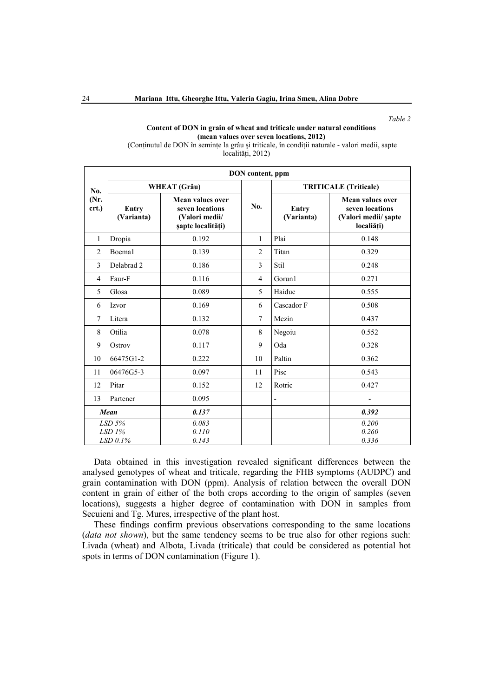*Table 2*

### **Content of DON in grain of wheat and triticale under natural conditions (mean values over seven locations, 2012)**

(Conţinutul de DON în seminţe la grâu şi triticale, în condiţii naturale - valori medii, sapte localități, 2012)

|                                    | DON content, ppm           |                                                                                   |                  |                              |                                                                           |  |  |
|------------------------------------|----------------------------|-----------------------------------------------------------------------------------|------------------|------------------------------|---------------------------------------------------------------------------|--|--|
| No.<br>(Nr.<br>crt.)               | <b>WHEAT</b> (Grâu)        |                                                                                   |                  | <b>TRITICALE</b> (Triticale) |                                                                           |  |  |
|                                    | <b>Entry</b><br>(Varianta) | <b>Mean values over</b><br>seven locations<br>(Valori medii/<br>șapte localități) | N <sub>0</sub> . | <b>Entry</b><br>(Varianta)   | Mean values over<br>seven locations<br>(Valori medii/ şapte<br>localiăți) |  |  |
| 1                                  | Dropia                     | 0.192                                                                             | 1                | Plai                         | 0.148                                                                     |  |  |
| $\overline{2}$                     | Boema1                     | 0.139                                                                             | $\overline{2}$   | Titan                        | 0.329                                                                     |  |  |
| 3                                  | Delabrad 2                 | 0.186                                                                             | 3                | Stil                         | 0.248                                                                     |  |  |
| $\overline{4}$                     | Faur-F                     | 0.116                                                                             | $\overline{4}$   | Gorun1                       | 0.271                                                                     |  |  |
| 5                                  | Glosa                      | 0.089                                                                             | 5                | Haiduc                       | 0.555                                                                     |  |  |
| 6                                  | Izvor                      | 0.169                                                                             | 6                | Cascador F                   | 0.508                                                                     |  |  |
| $\tau$                             | Litera                     | 0.132                                                                             | $7\phantom{.0}$  | Mezin                        | 0.437                                                                     |  |  |
| 8                                  | Otilia                     | 0.078                                                                             | 8                | Negoiu                       | 0.552                                                                     |  |  |
| 9                                  | Ostrov                     | 0.117                                                                             | 9                | Oda                          | 0.328                                                                     |  |  |
| 10                                 | 66475G1-2                  | 0.222                                                                             | 10               | Paltin                       | 0.362                                                                     |  |  |
| 11                                 | 06476G5-3                  | 0.097                                                                             | 11               | Pisc                         | 0.543                                                                     |  |  |
| 12                                 | Pitar                      | 0.152                                                                             | 12               | Rotric                       | 0.427                                                                     |  |  |
| 13                                 | Partener                   | 0.095                                                                             |                  | $\overline{a}$               | -                                                                         |  |  |
| Mean                               |                            | 0.137                                                                             |                  |                              | 0.392                                                                     |  |  |
| $LSD$ 5%<br>$LSD$ 1%<br>$LSD$ 0.1% |                            | 0.083<br>0.110<br>0.143                                                           |                  |                              | 0.200<br>0.260<br>0.336                                                   |  |  |

Data obtained in this investigation revealed significant differences between the analysed genotypes of wheat and triticale, regarding the FHB symptoms (AUDPC) and grain contamination with DON (ppm). Analysis of relation between the overall DON content in grain of either of the both crops according to the origin of samples (seven locations), suggests a higher degree of contamination with DON in samples from Secuieni and Tg. Mures, irrespective of the plant host.

These findings confirm previous observations corresponding to the same locations (*data not shown*), but the same tendency seems to be true also for other regions such: Livada (wheat) and Albota, Livada (triticale) that could be considered as potential hot spots in terms of DON contamination (Figure 1).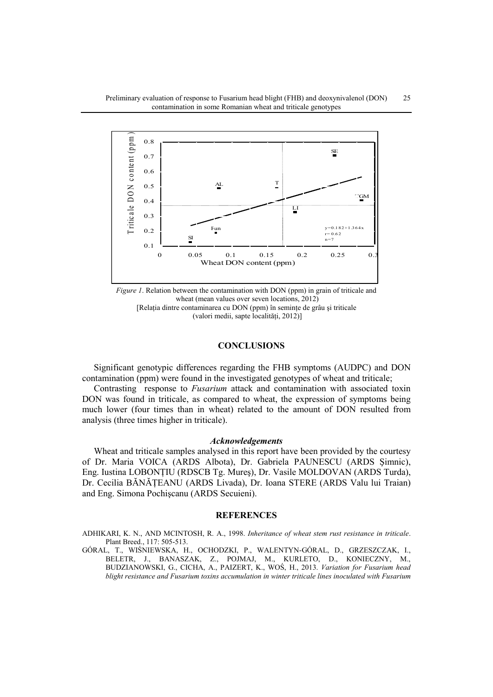

*Figure 1*. Relation between the contamination with DON (ppm) in grain of triticale and wheat (mean values over seven locations, 2012) [Relaţia dintre contaminarea cu DON (ppm) în seminţe de grâu şi triticale (valori medii, sapte localităţi, 2012)]

## ears, it was found out and confirmed **CONCLUSIONS**

Significant genotypic differences regarding the FHB symptoms (AUDPC) and DON contamination (ppm) were found in the investigated genotypes of wheat and triticale;

Contrasting response to *Fusarium* attack and contamination with associated toxin DON was found in triticale, as compared to wheat, the expression of symptoms being much lower (four times than in wheat) related to the amount of DON resulted from analysis (three times higher in triticale).

## *Acknowledgements*

Wheat and triticale samples analysed in this report have been provided by the courtesy of Dr. Maria VOICA (ARDS Albota), Dr. Gabriela PAUNESCU (ARDS Şimnic), Eng. Iustina LOBONŢIU (RDSCB Tg. Mureş), Dr. Vasile MOLDOVAN (ARDS Turda), Dr. Cecilia BĂNĂŢEANU (ARDS Livada), Dr. Ioana STERE (ARDS Valu lui Traian) and Eng. Simona Pochişcanu (ARDS Secuieni).

#### **REFERENCES**

ADHIKARI, K. N., AND MCINTOSH, R. A., 1998. *Inheritance of wheat stem rust resistance in triticale*. Plant Breed., 117: 505-513.

GÓRAL, T., WIŚNIEWSKA, H., OCHODZKI, P., WALENTYN-GÓRAL, D., GRZESZCZAK, I., BELETR, J., BANASZAK, Z., POJMAJ, M., KURLETO, D., KONIECZNY, M., BUDZIANOWSKI, G., CICHA, A., PAIZERT, K., WOŚ, H., 2013. *Variation for Fusarium head blight resistance and Fusarium toxins accumulation in winter triticale lines inoculated with Fusarium*